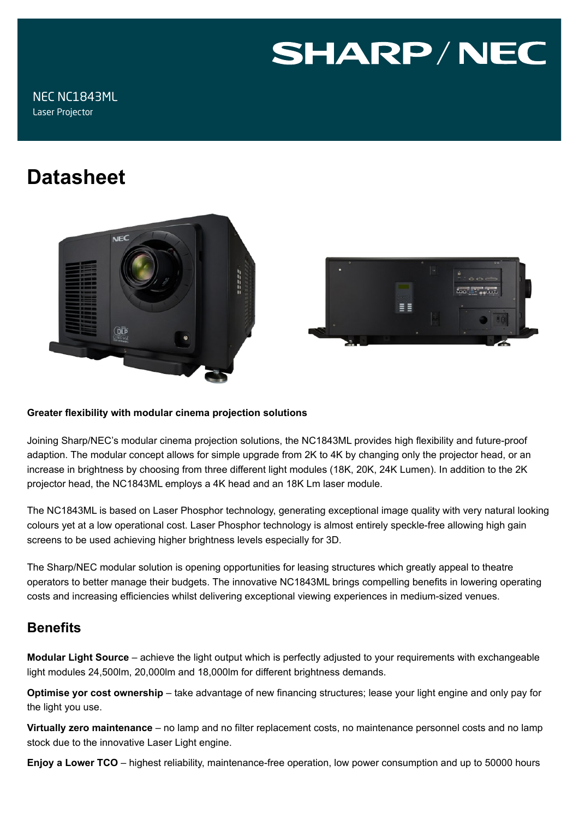# **SHARP/NEC**

# **Datasheet**





#### **Greater flexibility with modular cinema projection solutions**

Joining Sharp/NEC's modular cinema projection solutions, the NC1843ML provides high flexibility and future-proof adaption. The modular concept allows for simple upgrade from 2K to 4K by changing only the projector head, or an increase in brightness by choosing from three different light modules (18K, 20K, 24K Lumen). In addition to the 2K projector head, the NC1843ML employs a 4K head and an 18K Lm laser module.

The NC1843ML is based on Laser Phosphor technology, generating exceptional image quality with very natural looking colours yet at a low operational cost. Laser Phosphor technology is almost entirely speckle-free allowing high gain screens to be used achieving higher brightness levels especially for 3D.

The Sharp/NEC modular solution is opening opportunities for leasing structures which greatly appeal to theatre operators to better manage their budgets. The innovative NC1843ML brings compelling benefits in lowering operating costs and increasing efficiencies whilst delivering exceptional viewing experiences in medium-sized venues.

# **Benefits**

**Modular Light Source** – achieve the light output which is perfectly adjusted to your requirements with exchangeable light modules 24,500lm, 20,000lm and 18,000lm for different brightness demands.

**Optimise yor cost ownership** – take advantage of new financing structures; lease your light engine and only pay for the light you use.

**Virtually zero maintenance** – no lamp and no filter replacement costs, no maintenance personnel costs and no lamp stock due to the innovative Laser Light engine.

**Enjoy a Lower TCO** – highest reliability, maintenance-free operation, low power consumption and up to 50000 hours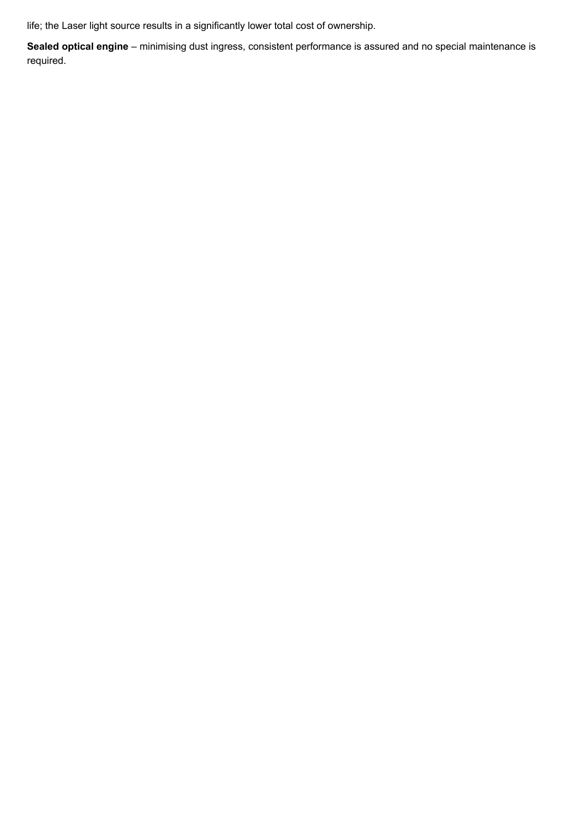life; the Laser light source results in a significantly lower total cost of ownership.

**Sealed optical engine** – minimising dust ingress, consistent performance is assured and no special maintenance is required.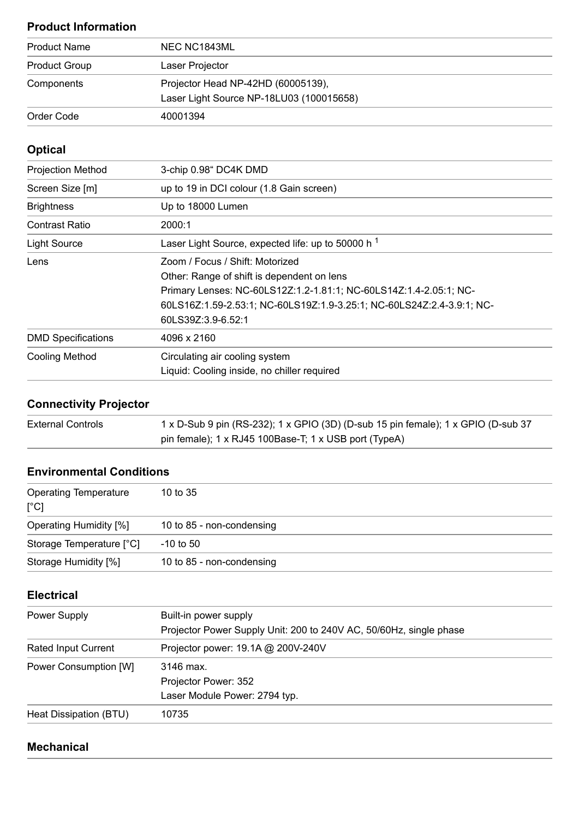# **Product Information**

| <b>Product Name</b>  | NEC NC1843ML                             |
|----------------------|------------------------------------------|
| <b>Product Group</b> | Laser Projector                          |
| Components           | Projector Head NP-42HD (60005139),       |
|                      | Laser Light Source NP-18LU03 (100015658) |
| Order Code           | 40001394                                 |

# **Optical**

| <b>Projection Method</b>  | 3-chip 0.98" DC4K DMD                                                                                                                                                                                                       |
|---------------------------|-----------------------------------------------------------------------------------------------------------------------------------------------------------------------------------------------------------------------------|
| Screen Size [m]           | up to 19 in DCI colour (1.8 Gain screen)                                                                                                                                                                                    |
| <b>Brightness</b>         | Up to 18000 Lumen                                                                                                                                                                                                           |
| <b>Contrast Ratio</b>     | 2000:1                                                                                                                                                                                                                      |
| <b>Light Source</b>       | Laser Light Source, expected life: up to 50000 h <sup>1</sup>                                                                                                                                                               |
| Lens                      | Zoom / Focus / Shift: Motorized<br>Other: Range of shift is dependent on lens<br>Primary Lenses: NC-60LS12Z:1.2-1.81:1; NC-60LS14Z:1.4-2.05:1; NC-<br>60LS16Z:1.59-2.53:1; NC-60LS19Z:1.9-3.25:1; NC-60LS24Z:2.4-3.9:1; NC- |
|                           | 60LS39Z:3.9-6.52:1                                                                                                                                                                                                          |
| <b>DMD Specifications</b> | 4096 x 2160                                                                                                                                                                                                                 |
| <b>Cooling Method</b>     | Circulating air cooling system<br>Liquid: Cooling inside, no chiller required                                                                                                                                               |

# **Connectivity Projector**

| <b>External Controls</b> | 1 x D-Sub 9 pin (RS-232); 1 x GPIO (3D) (D-sub 15 pin female); 1 x GPIO (D-sub 37 |
|--------------------------|-----------------------------------------------------------------------------------|
|                          | pin female); $1 \times RJ45$ 100Base-T; $1 \times USB$ port (TypeA)               |

## **Environmental Conditions**

| <b>Operating Temperature</b><br>$[^{\circ}C]$ | 10 to $35$                |
|-----------------------------------------------|---------------------------|
| <b>Operating Humidity [%]</b>                 | 10 to 85 - non-condensing |
| Storage Temperature [°C]                      | $-10$ to $50$             |
| Storage Humidity [%]                          | 10 to 85 - non-condensing |

# **Electrical**

| Power Supply               | Built-in power supply<br>Projector Power Supply Unit: 200 to 240V AC, 50/60Hz, single phase |
|----------------------------|---------------------------------------------------------------------------------------------|
| <b>Rated Input Current</b> | Projector power: 19.1A @ 200V-240V                                                          |
| Power Consumption [W]      | 3146 max.<br>Projector Power: 352                                                           |
|                            | Laser Module Power: 2794 typ.                                                               |
| Heat Dissipation (BTU)     | 10735                                                                                       |

### **Mechanical**